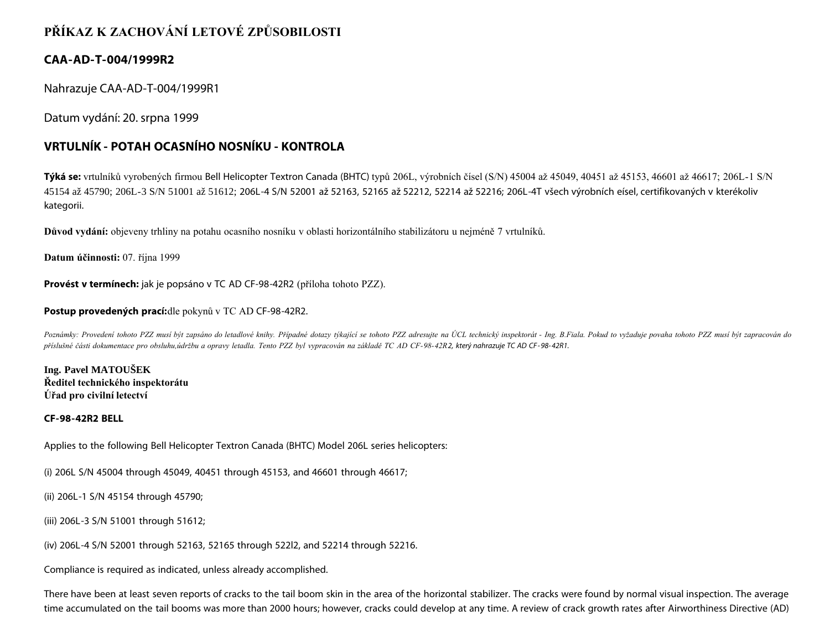# **PŘÍKAZ K ZACHOVÁNÍ LETOVÉ ZPŮSOBILOSTI**

### **CAA-AD-T-004/1999R2**

Nahrazuje CAA-AD-T-004/1999R1

Datum vydání: 20. srpna 1999

## **VRTULNÍK - POTAH OCASNÍHO NOSNÍKU - KONTROLA**

**Týká se:** vrtulníků vyrobených firmou Bell Helicopter Textron Canada (BHTC) typů 206L, výrobních čísel (S/N) 45004 až 45049, 40451 až 45153, 46601 až 46617; 206L-1 S/N 45154 až 45790; 206L-3 S/N 51001 až 51612; 206L-4 S/N 52001 až 52163, 52165 až 52212, 52214 až 52216; 206L-4T všech výrobních eísel, certifikovaných v kterékoliv kategorii.

**Důvod vydání:** objeveny trhliny na potahu ocasního nosníku v oblasti horizontálního stabilizátoru u nejméně 7 vrtulníků.

**Datum účinnosti:** 07. října 1999

**Provést v termínech:** jak je popsáno v TC AD CF-98-42R2 (příloha tohoto PZZ).

### **Postup provedených prací:**dle pokynů v TC AD CF-98-42R2.

Poznámky: Provedení tohoto PZZ musí být zapsáno do letadlové knihy. Případné dotazy týkající se tohoto PZZ adresujte na ÚCL technický inspektorát - Ing. B.Fiala. Pokud to vyžaduje povaha tohoto PZZ musí být zapracován do *příslušné části dokumentace pro obsluhu,údržbu a opravy letadla. Tento PZZ byl vypracován na základě TC AD CF-98-42R2, který nahrazuje TC AD CF- 98- 42R1.*

**Ing. Pavel MATOUŠEK Ředitel technického inspektorátu Úřad pro civilní letectví**

### **CF-98-42R2 BELL**

Applies to the following Bell Helicopter Textron Canada (BHTC) Model 206L series helicopters:

(i) 206L S/N 45004 through 45049, 40451 through 45153, and 46601 through 46617;

(ii) 206L-1 S/N 45154 through 45790;

(iii) 206L-3 S/N 51001 through 51612;

(iv) 206L-4 S/N 52001 through 52163, 52165 through 522l2, and 52214 through 52216.

Compliance is required as indicated, unless already accomplished.

There have been at least seven reports of cracks to the tail boom skin in the area of the horizontal stabilizer. The cracks were found by normal visual inspection. The average time accumulated on the tail booms was more than 2000 hours; however, cracks could develop at any time. A review of crack growth rates after Airworthiness Directive (AD)